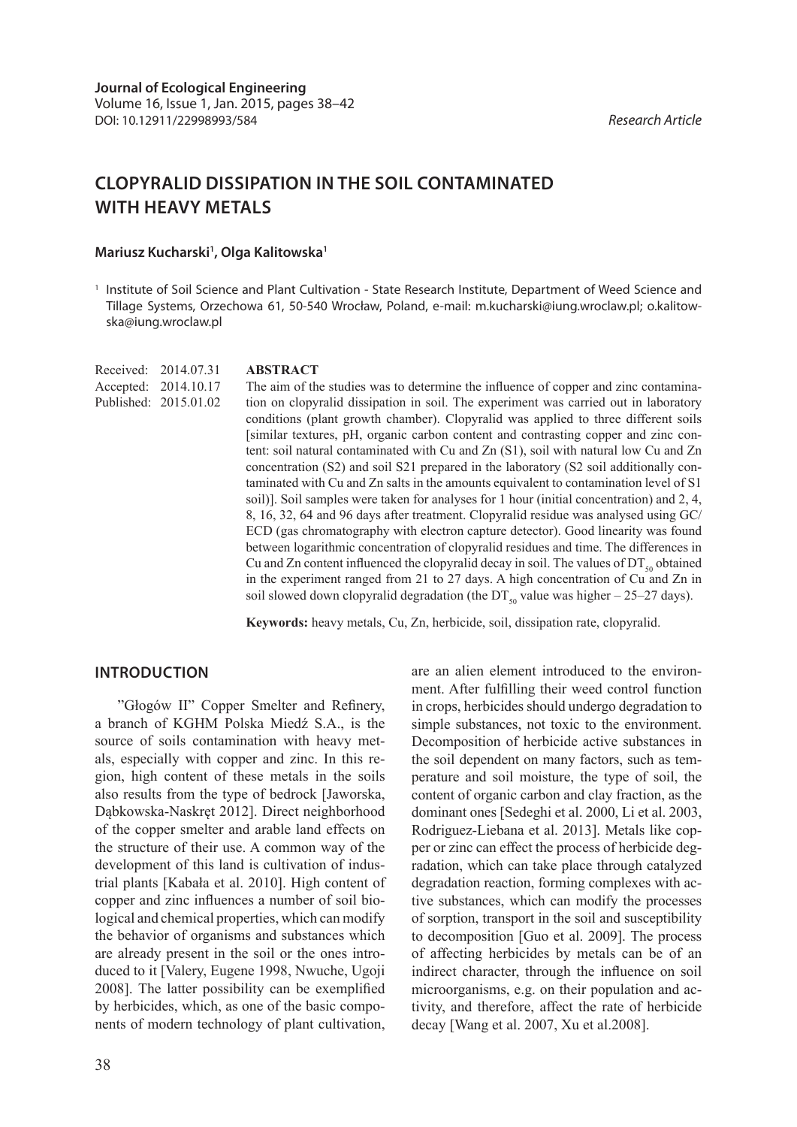# **CLOPYRALID DISSIPATION IN THE SOIL CONTAMINATED WITH HEAVY METALS**

### **Mariusz Kucharski1 , Olga Kalitowska1**

<sup>1</sup> Institute of Soil Science and Plant Cultivation - State Research Institute, Department of Weed Science and Tillage Systems, Orzechowa 61, 50-540 Wrocław, Poland, e-mail: m.kucharski@iung.wroclaw.pl; o.kalitowska@iung.wroclaw.pl

Received: 2014.07.31 Accepted: 2014.10.17 Published: 2015.01.02

#### **ABSTRACT**

The aim of the studies was to determine the influence of copper and zinc contamination on clopyralid dissipation in soil. The experiment was carried out in laboratory conditions (plant growth chamber). Clopyralid was applied to three different soils [similar textures, pH, organic carbon content and contrasting copper and zinc content: soil natural contaminated with Cu and Zn (S1), soil with natural low Cu and Zn concentration (S2) and soil S21 prepared in the laboratory (S2 soil additionally contaminated with Cu and Zn salts in the amounts equivalent to contamination level of S1 soil)]. Soil samples were taken for analyses for 1 hour (initial concentration) and 2, 4, 8, 16, 32, 64 and 96 days after treatment. Clopyralid residue was analysed using GC/ ECD (gas chromatography with electron capture detector). Good linearity was found between logarithmic concentration of clopyralid residues and time. The differences in Cu and Zn content influenced the clopyralid decay in soil. The values of  $DT_{50}$  obtained in the experiment ranged from 21 to 27 days. A high concentration of Cu and Zn in soil slowed down clopyralid degradation (the  $DT_{50}$  value was higher – 25–27 days).

**Keywords:** heavy metals, Cu, Zn, herbicide, soil, dissipation rate, clopyralid.

# **INTRODUCTION**

"Głogów II" Copper Smelter and Refinery, a branch of KGHM Polska Miedź S.A., is the source of soils contamination with heavy metals, especially with copper and zinc. In this region, high content of these metals in the soils also results from the type of bedrock [Jaworska, Dąbkowska-Naskręt 2012]. Direct neighborhood of the copper smelter and arable land effects on the structure of their use. A common way of the development of this land is cultivation of industrial plants [Kabała et al. 2010]. High content of copper and zinc influences a number of soil biological and chemical properties, which can modify the behavior of organisms and substances which are already present in the soil or the ones introduced to it [Valery, Eugene 1998, Nwuche, Ugoji 2008]. The latter possibility can be exemplified by herbicides, which, as one of the basic components of modern technology of plant cultivation,

are an alien element introduced to the environment. After fulfilling their weed control function in crops, herbicides should undergo degradation to simple substances, not toxic to the environment. Decomposition of herbicide active substances in the soil dependent on many factors, such as temperature and soil moisture, the type of soil, the content of organic carbon and clay fraction, as the dominant ones [Sedeghi et al. 2000, Li et al. 2003, Rodriguez-Liebana et al. 2013]. Metals like copper or zinc can effect the process of herbicide degradation, which can take place through catalyzed degradation reaction, forming complexes with active substances, which can modify the processes of sorption, transport in the soil and susceptibility to decomposition [Guo et al. 2009]. The process of affecting herbicides by metals can be of an indirect character, through the influence on soil microorganisms, e.g. on their population and activity, and therefore, affect the rate of herbicide decay [Wang et al. 2007, Xu et al.2008].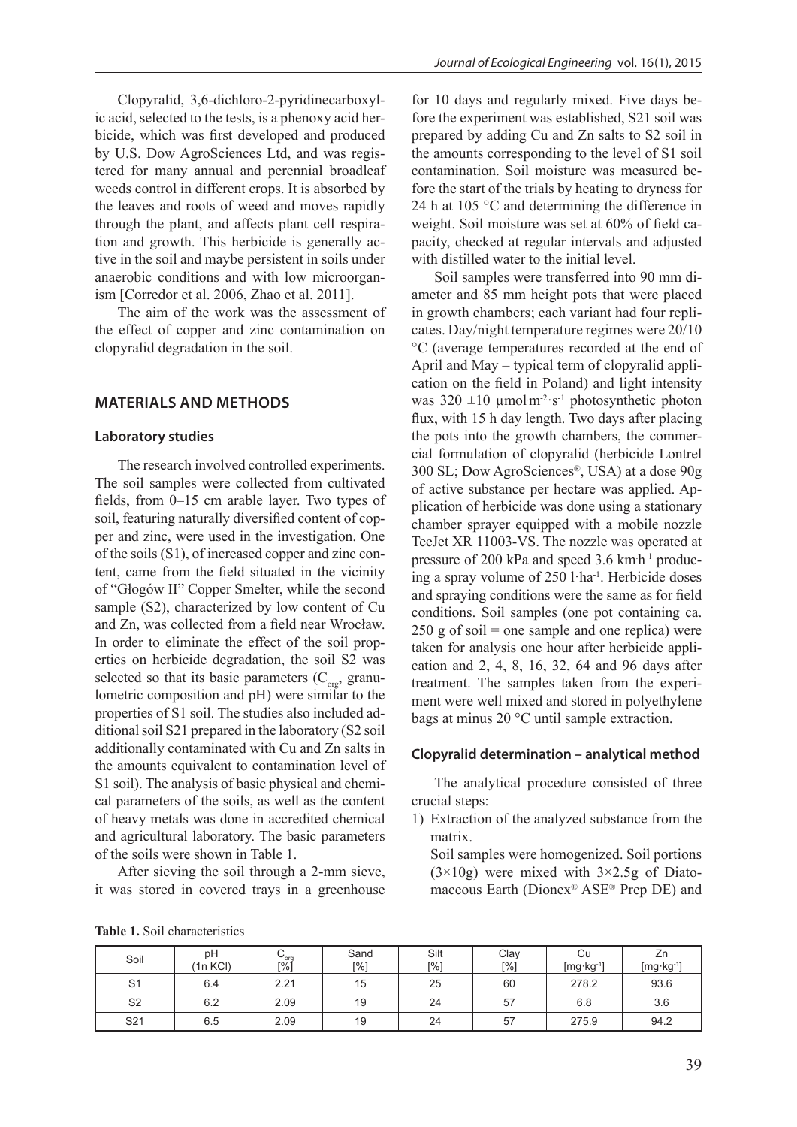Clopyralid, 3,6-dichloro-2-pyridinecarboxylic acid, selected to the tests, is a phenoxy acid herbicide, which was first developed and produced by U.S. Dow AgroSciences Ltd, and was registered for many annual and perennial broadleaf weeds control in different crops. It is absorbed by the leaves and roots of weed and moves rapidly through the plant, and affects plant cell respiration and growth. This herbicide is generally active in the soil and maybe persistent in soils under anaerobic conditions and with low microorganism [Corredor et al. 2006, Zhao et al. 2011].

The aim of the work was the assessment of the effect of copper and zinc contamination on clopyralid degradation in the soil.

## **MATERIALS AND METHODS**

#### **Laboratory studies**

The research involved controlled experiments. The soil samples were collected from cultivated fields, from 0–15 cm arable layer. Two types of soil, featuring naturally diversified content of copper and zinc, were used in the investigation. One of the soils (S1), of increased copper and zinc content, came from the field situated in the vicinity of "Głogów II" Copper Smelter, while the second sample (S2), characterized by low content of Cu and Zn, was collected from a field near Wrocław. In order to eliminate the effect of the soil properties on herbicide degradation, the soil S2 was selected so that its basic parameters  $(C_{\text{org}})$ , granulometric composition and pH) were similar to the properties of S1 soil. The studies also included additional soil S21 prepared in the laboratory (S2 soil additionally contaminated with Cu and Zn salts in the amounts equivalent to contamination level of S1 soil). The analysis of basic physical and chemical parameters of the soils, as well as the content of heavy metals was done in accredited chemical and agricultural laboratory. The basic parameters of the soils were shown in Table 1.

After sieving the soil through a 2-mm sieve, it was stored in covered trays in a greenhouse

for 10 days and regularly mixed. Five days before the experiment was established, S21 soil was prepared by adding Cu and Zn salts to S2 soil in the amounts corresponding to the level of S1 soil contamination. Soil moisture was measured before the start of the trials by heating to dryness for 24 h at 105 °C and determining the difference in weight. Soil moisture was set at 60% of field capacity, checked at regular intervals and adjusted with distilled water to the initial level.

Soil samples were transferred into 90 mm diameter and 85 mm height pots that were placed in growth chambers; each variant had four replicates. Day/night temperature regimes were 20/10 °C (average temperatures recorded at the end of April and May – typical term of clopyralid application on the field in Poland) and light intensity was  $320 \pm 10 \mu$ mol m<sup>-2</sup>·s<sup>-1</sup> photosynthetic photon flux, with 15 h day length. Two days after placing the pots into the growth chambers, the commercial formulation of clopyralid (herbicide Lontrel 300 SL; Dow AgroSciences®, USA) at a dose 90g of active substance per hectare was applied. Application of herbicide was done using a stationary chamber sprayer equipped with a mobile nozzle TeeJet XR 11003-VS. The nozzle was operated at pressure of 200 kPa and speed 3.6 km h<sup>-1</sup> producing a spray volume of 250 l·ha-1. Herbicide doses and spraying conditions were the same as for field conditions. Soil samples (one pot containing ca.  $250$  g of soil = one sample and one replica) were taken for analysis one hour after herbicide application and 2, 4, 8, 16, 32, 64 and 96 days after treatment. The samples taken from the experiment were well mixed and stored in polyethylene bags at minus 20 °C until sample extraction.

#### **Clopyralid determination – analytical method**

The analytical procedure consisted of three crucial steps:

1) Extraction of the analyzed substance from the matrix.

Soil samples were homogenized. Soil portions  $(3\times10)$  were mixed with  $3\times2.5$ g of Diatomaceous Earth (Dionex® ASE® Prep DE) and

|  |  |  | <b>Table 1.</b> Soil characteristics |
|--|--|--|--------------------------------------|
|--|--|--|--------------------------------------|

| Soil            | рH<br>(1n KCI) | $\frac{C_{org}}{S_{ref}}$ | Sand<br>[%] | Silt<br>[%] | Clay<br>$\lceil\% \rceil$ | Cu<br>$[mg \cdot kg^{-1}]$ | Ζn<br>$[mg \cdot kg^{-1}]$ |
|-----------------|----------------|---------------------------|-------------|-------------|---------------------------|----------------------------|----------------------------|
| S <sub>1</sub>  | 6.4            | 2.21                      | 15          | 25          | 60                        | 278.2                      | 93.6                       |
| S <sub>2</sub>  | 6.2            | 2.09                      | 19          | 24          | 57                        | 6.8                        | 3.6                        |
| S <sub>21</sub> | 6.5            | 2.09                      | 19          | 24          | 57                        | 275.9                      | 94.2                       |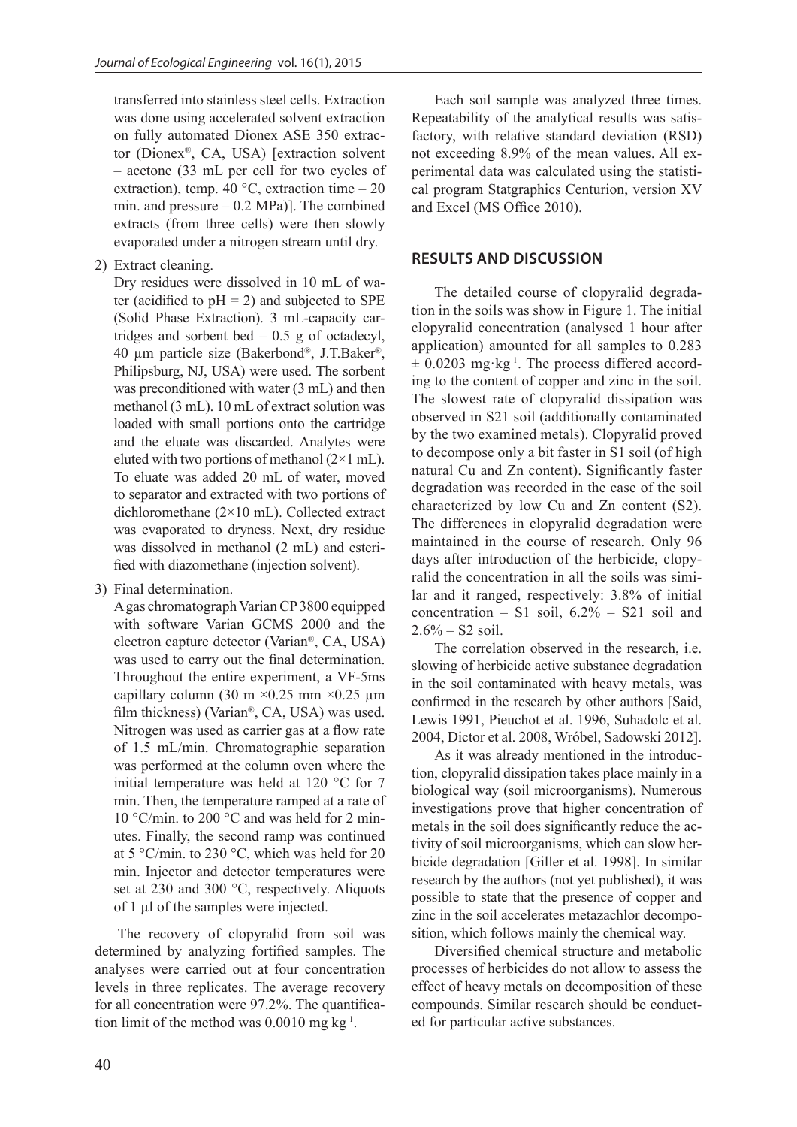transferred into stainless steel cells. Extraction was done using accelerated solvent extraction on fully automated Dionex ASE 350 extractor (Dionex®, CA, USA) [extraction solvent – acetone (33 mL per cell for two cycles of extraction), temp. 40  $^{\circ}$ C, extraction time – 20 min. and pressure  $-0.2$  MPa)]. The combined extracts (from three cells) were then slowly evaporated under a nitrogen stream until dry.

2) Extract cleaning.

Dry residues were dissolved in 10 mL of water (acidified to  $pH = 2$ ) and subjected to SPE (Solid Phase Extraction). 3 mL-capacity cartridges and sorbent bed  $-0.5$  g of octadecyl, 40 µm particle size (Bakerbond®, J.T.Baker®, Philipsburg, NJ, USA) were used. The sorbent was preconditioned with water (3 mL) and then methanol (3 mL). 10 mL of extract solution was loaded with small portions onto the cartridge and the eluate was discarded. Analytes were eluted with two portions of methanol  $(2\times1$  mL). To eluate was added 20 mL of water, moved to separator and extracted with two portions of dichloromethane (2×10 mL). Collected extract was evaporated to dryness. Next, dry residue was dissolved in methanol (2 mL) and esterified with diazomethane (injection solvent).

3) Final determination.

A gas chromatograph Varian CP 3800 equipped with software Varian GCMS 2000 and the electron capture detector (Varian®, CA, USA) was used to carry out the final determination. Throughout the entire experiment, a VF-5ms capillary column (30 m  $\times$ 0.25 mm  $\times$ 0.25 µm film thickness) (Varian®, CA, USA) was used. Nitrogen was used as carrier gas at a flow rate of 1.5 mL/min. Chromatographic separation was performed at the column oven where the initial temperature was held at 120 °C for 7 min. Then, the temperature ramped at a rate of 10 °C/min. to 200 °C and was held for 2 minutes. Finally, the second ramp was continued at 5 °C/min. to 230 °C, which was held for 20 min. Injector and detector temperatures were set at 230 and 300 °C, respectively. Aliquots of 1 µl of the samples were injected.

The recovery of clopyralid from soil was determined by analyzing fortified samples. The analyses were carried out at four concentration levels in three replicates. The average recovery for all concentration were 97.2%. The quantification limit of the method was  $0.0010$  mg kg<sup>-1</sup>.

Each soil sample was analyzed three times. Repeatability of the analytical results was satisfactory, with relative standard deviation (RSD) not exceeding 8.9% of the mean values. All experimental data was calculated using the statistical program Statgraphics Centurion, version XV and Excel (MS Office 2010).

# **RESULTS AND DISCUSSION**

The detailed course of clopyralid degradation in the soils was show in Figure 1. The initial clopyralid concentration (analysed 1 hour after application) amounted for all samples to 0.283  $\pm$  0.0203 mg·kg<sup>-1</sup>. The process differed according to the content of copper and zinc in the soil. The slowest rate of clopyralid dissipation was observed in S21 soil (additionally contaminated by the two examined metals). Clopyralid proved to decompose only a bit faster in S1 soil (of high natural Cu and Zn content). Significantly faster degradation was recorded in the case of the soil characterized by low Cu and Zn content (S2). The differences in clopyralid degradation were maintained in the course of research. Only 96 days after introduction of the herbicide, clopyralid the concentration in all the soils was similar and it ranged, respectively: 3.8% of initial concentration – S1 soil,  $6.2\%$  – S21 soil and  $2.6\% - S2$  soil.

The correlation observed in the research, i.e. slowing of herbicide active substance degradation in the soil contaminated with heavy metals, was confirmed in the research by other authors [Said, Lewis 1991, Pieuchot et al. 1996, Suhadolc et al. 2004, Dictor et al. 2008, Wróbel, Sadowski 2012].

As it was already mentioned in the introduction, clopyralid dissipation takes place mainly in a biological way (soil microorganisms). Numerous investigations prove that higher concentration of metals in the soil does significantly reduce the activity of soil microorganisms, which can slow herbicide degradation [Giller et al. 1998]. In similar research by the authors (not yet published), it was possible to state that the presence of copper and zinc in the soil accelerates metazachlor decomposition, which follows mainly the chemical way.

Diversified chemical structure and metabolic processes of herbicides do not allow to assess the effect of heavy metals on decomposition of these compounds. Similar research should be conducted for particular active substances.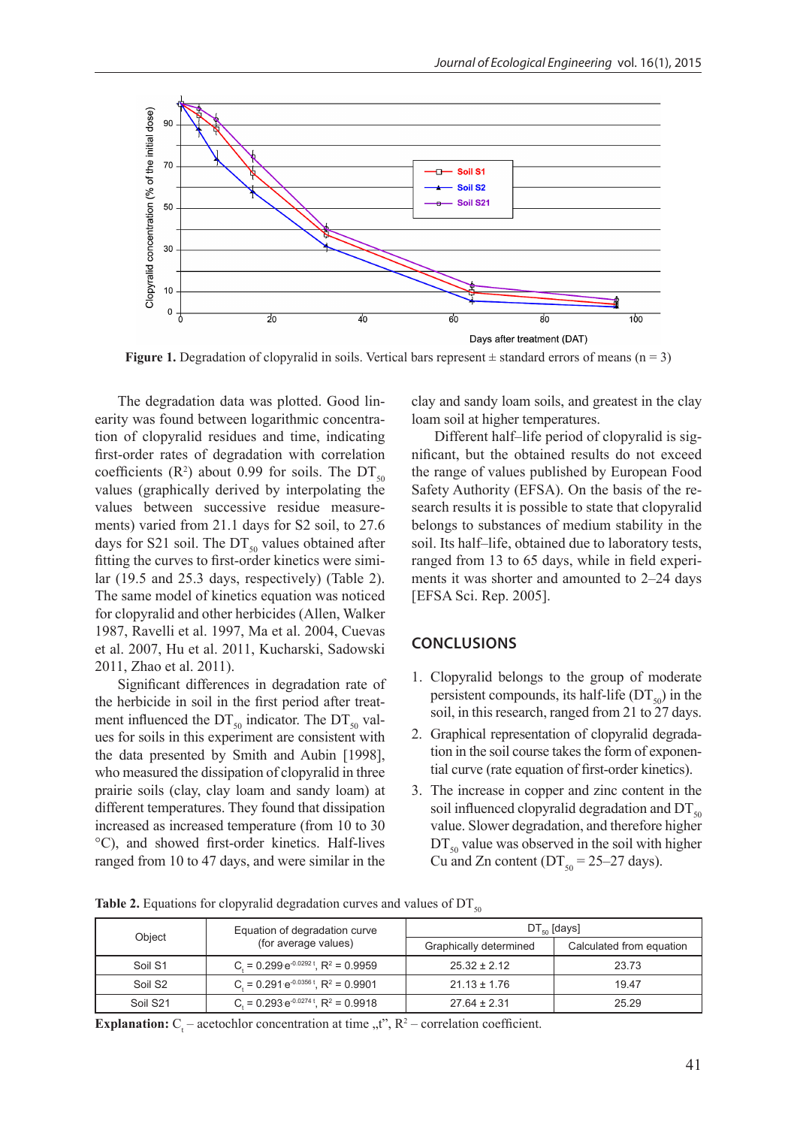

**Figure 1.** Degradation of clopyralid in soils. Vertical bars represent  $\pm$  standard errors of means (n = 3)

The degradation data was plotted. Good linearity was found between logarithmic concentration of clopyralid residues and time, indicating first-order rates of degradation with correlation coefficients ( $\mathbb{R}^2$ ) about 0.99 for soils. The DT<sub>50</sub> values (graphically derived by interpolating the values between successive residue measurements) varied from 21.1 days for S2 soil, to 27.6 days for S21 soil. The  $DT_{50}$  values obtained after fitting the curves to first-order kinetics were similar (19.5 and 25.3 days, respectively) (Table 2). The same model of kinetics equation was noticed for clopyralid and other herbicides (Allen, Walker 1987, Ravelli et al. 1997, Ma et al. 2004, Cuevas et al. 2007, Hu et al. 2011, Kucharski, Sadowski 2011, Zhao et al. 2011).

Significant differences in degradation rate of the herbicide in soil in the first period after treatment influenced the  $DT_{50}$  indicator. The  $DT_{50}$  values for soils in this experiment are consistent with the data presented by Smith and Aubin [1998], who measured the dissipation of clopyralid in three prairie soils (clay, clay loam and sandy loam) at different temperatures. They found that dissipation increased as increased temperature (from 10 to 30 °C), and showed first-order kinetics. Half-lives ranged from 10 to 47 days, and were similar in the

clay and sandy loam soils, and greatest in the clay loam soil at higher temperatures.

Different half–life period of clopyralid is significant, but the obtained results do not exceed the range of values published by European Food Safety Authority (EFSA). On the basis of the research results it is possible to state that clopyralid belongs to substances of medium stability in the soil. Its half–life, obtained due to laboratory tests, ranged from 13 to 65 days, while in field experiments it was shorter and amounted to 2–24 days [EFSA Sci. Rep. 2005].

# **CONCLUSIONS**

- 1. Clopyralid belongs to the group of moderate persistent compounds, its half-life  $(DT_{50})$  in the soil, in this research, ranged from 21 to 27 days.
- 2. Graphical representation of clopyralid degradation in the soil course takes the form of exponential curve (rate equation of first-order kinetics).
- 3. The increase in copper and zinc content in the soil influenced clopyralid degradation and  $DT_{50}$ value. Slower degradation, and therefore higher  $DT_{50}$  value was observed in the soil with higher Cu and Zn content ( $DT_{50} = 25-27$  days).

**Table 2.** Equations for clopyralid degradation curves and values of  $DT<sub>50</sub>$ 

| Object              | Equation of degradation curve                         | $DT_{\epsilon_0}$ [days] |                          |  |
|---------------------|-------------------------------------------------------|--------------------------|--------------------------|--|
|                     | (for average values)                                  | Graphically determined   | Calculated from equation |  |
| Soil S1             | $C_1 = 0.299 e^{-0.0292 t}$ , R <sup>2</sup> = 0.9959 | $25.32 \pm 2.12$         | 23.73                    |  |
| Soil S <sub>2</sub> | $C = 0.291 e^{-0.0356 t}$ , R <sup>2</sup> = 0.9901   | $21.13 \pm 1.76$         | 19.47                    |  |
| Soil S21            | C = $0.293e^{-0.0274t}$ , R <sup>2</sup> = 0.9918     | $27.64 \pm 2.31$         | 25.29                    |  |

**Explanation:**  $C_t$  – acetochlor concentration at time  $, t^{\prime\prime}$ ,  $R^2$  – correlation coefficient.